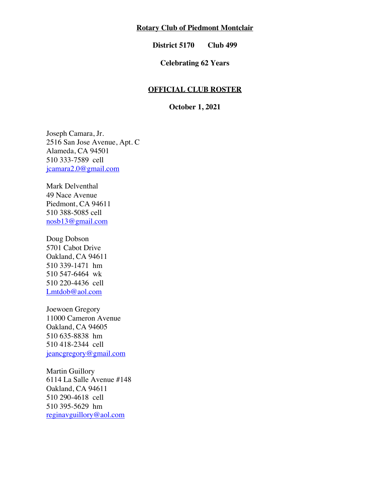## **Rotary Club of Piedmont Montclair**

**District 5170 Club 499**

# **Celebrating 62 Years**

#### **OFFICIAL CLUB ROSTER**

**October 1, 2021**

Joseph Camara, Jr. 2516 San Jose Avenue, Apt. C Alameda, CA 94501 510 333-7589 cell jcamara2.0@gmail.com

Mark Delventhal 49 Nace Avenue Piedmont, CA 94611 510 388-5085 cell nosb13@gmail.com

Doug Dobson 5701 Cabot Drive Oakland, CA 94611 510 339-1471 hm 510 547-6464 wk 510 220-4436 cell Lmtdob@aol.com

Joewoen Gregory 11000 Cameron Avenue Oakland, CA 94605 510 635-8838 hm 510 418-2344 cell jeancgregory@gmail.com

Martin Guillory 6114 La Salle Avenue #148 Oakland, CA 94611 510 290-4618 cell 510 395-5629 hm reginavguillory@aol.com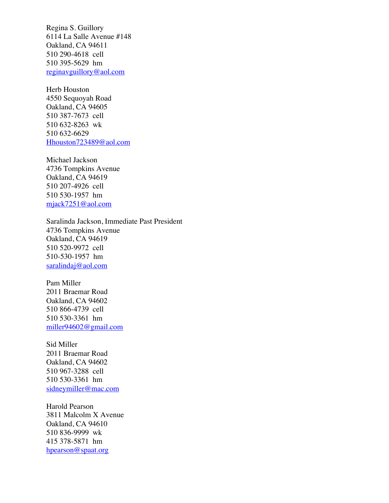Regina S. Guillory 6114 La Salle Avenue #148 Oakland, CA 94611 510 290-4618 cell 510 395-5629 hm reginavguillory@aol.com

Herb Houston 4550 Sequoyah Road Oakland, CA 94605 510 387-7673 cell 510 632-8263 wk 510 632-6629 Hhouston723489@aol.com

Michael Jackson 4736 Tompkins Avenue Oakland, CA 94619 510 207-4926 cell 510 530-1957 hm mjack7251@aol.com

Saralinda Jackson, Immediate Past President 4736 Tompkins Avenue Oakland, CA 94619 510 520-9972 cell 510-530-1957 hm saralindaj@aol.com

Pam Miller 2011 Braemar Road Oakland, CA 94602 510 866-4739 cell 510 530-3361 hm miller94602@gmail.com

Sid Miller 2011 Braemar Road Oakland, CA 94602 510 967-3288 cell 510 530-3361 hm sidneymiller@mac.com

Harold Pearson 3811 Malcolm X Avenue Oakland, CA 94610 510 836-9999 wk 415 378-5871 hm hpearson@spaat.org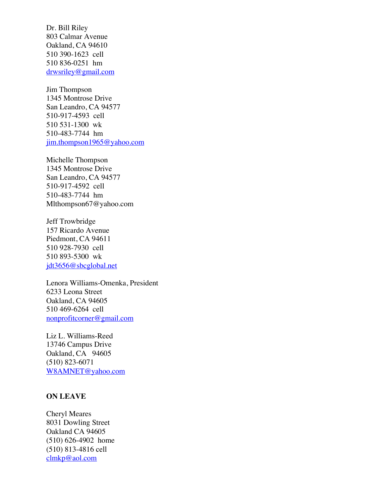Dr. Bill Riley 803 Calmar Avenue Oakland, CA 94610 510 390-1623 cell 510 836-0251 hm drwsriley@gmail.com

Jim Thompson 1345 Montrose Drive San Leandro, CA 94577 510-917-4593 cell 510 531-1300 wk 510-483-7744 hm jim.thompson1965@yahoo.com

Michelle Thompson 1345 Montrose Drive San Leandro, CA 94577 510-917-4592 cell 510-483-7744 hm Mlthompson67@yahoo.com

Jeff Trowbridge 157 Ricardo Avenue Piedmont, CA 94611 510 928-7930 cell 510 893-5300 wk jdt3656@sbcglobal.net

Lenora Williams-Omenka, President 6233 Leona Street Oakland, CA 94605 510 469-6264 cell nonprofitcorner@gmail.com

Liz L. Williams-Reed 13746 Campus Drive Oakland, CA 94605 (510) 823-6071 W8AMNET@yahoo.com

## **ON LEAVE**

Cheryl Meares 8031 Dowling Street Oakland CA 94605 (510) 626-4902 home (510) 813-4816 cell clmkp@aol.com